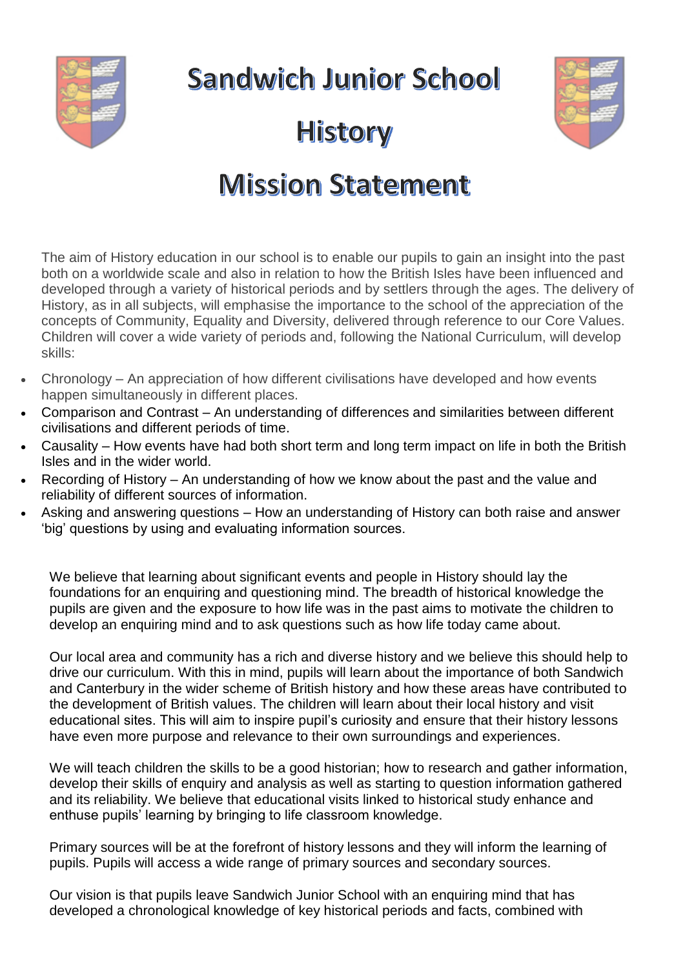

**Sandwich Junior School** 



## **History**

## **Mission Statement**

The aim of History education in our school is to enable our pupils to gain an insight into the past both on a worldwide scale and also in relation to how the British Isles have been influenced and developed through a variety of historical periods and by settlers through the ages. The delivery of History, as in all subjects, will emphasise the importance to the school of the appreciation of the concepts of Community, Equality and Diversity, delivered through reference to our Core Values. Children will cover a wide variety of periods and, following the National Curriculum, will develop skills:

- Chronology An appreciation of how different civilisations have developed and how events happen simultaneously in different places.
- Comparison and Contrast An understanding of differences and similarities between different civilisations and different periods of time.
- Causality How events have had both short term and long term impact on life in both the British Isles and in the wider world.
- Recording of History An understanding of how we know about the past and the value and reliability of different sources of information.
- Asking and answering questions How an understanding of History can both raise and answer 'big' questions by using and evaluating information sources.

We believe that learning about significant events and people in History should lay the foundations for an enquiring and questioning mind. The breadth of historical knowledge the pupils are given and the exposure to how life was in the past aims to motivate the children to develop an enquiring mind and to ask questions such as how life today came about.

Our local area and community has a rich and diverse history and we believe this should help to drive our curriculum. With this in mind, pupils will learn about the importance of both Sandwich and Canterbury in the wider scheme of British history and how these areas have contributed to the development of British values. The children will learn about their local history and visit educational sites. This will aim to inspire pupil's curiosity and ensure that their history lessons have even more purpose and relevance to their own surroundings and experiences.

We will teach children the skills to be a good historian; how to research and gather information, develop their skills of enquiry and analysis as well as starting to question information gathered and its reliability. We believe that educational visits linked to historical study enhance and enthuse pupils' learning by bringing to life classroom knowledge.

Primary sources will be at the forefront of history lessons and they will inform the learning of pupils. Pupils will access a wide range of primary sources and secondary sources.

Our vision is that pupils leave Sandwich Junior School with an enquiring mind that has developed a chronological knowledge of key historical periods and facts, combined with